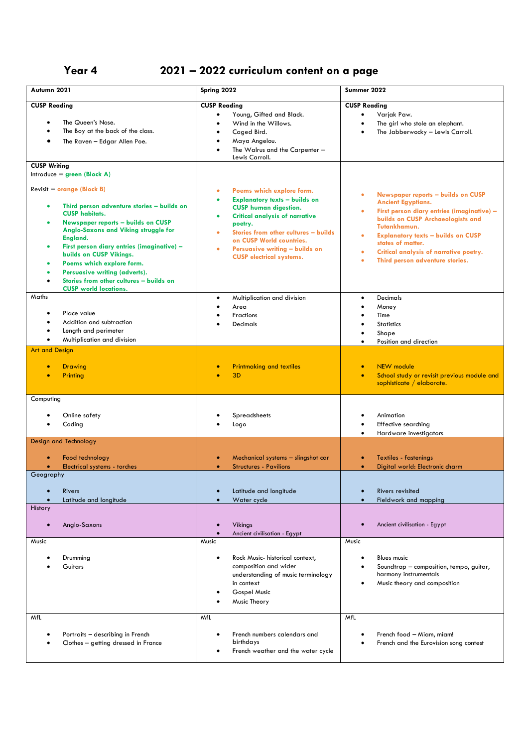## **Year 4 2021 – 2022 curriculum content on a page**

| Autumn 2021                                                                                                                                                                                                                                                                                                                                                                                                                                                             | Spring 2022                                                                                                                                                                                                                                                                                                                                | Summer 2022                                                                                                                                                                                                                                                                                                                                                               |
|-------------------------------------------------------------------------------------------------------------------------------------------------------------------------------------------------------------------------------------------------------------------------------------------------------------------------------------------------------------------------------------------------------------------------------------------------------------------------|--------------------------------------------------------------------------------------------------------------------------------------------------------------------------------------------------------------------------------------------------------------------------------------------------------------------------------------------|---------------------------------------------------------------------------------------------------------------------------------------------------------------------------------------------------------------------------------------------------------------------------------------------------------------------------------------------------------------------------|
| <b>CUSP Reading</b><br>The Queen's Nose.<br>$\bullet$<br>The Boy at the back of the class.<br>The Raven - Edgar Allen Poe.<br>٠                                                                                                                                                                                                                                                                                                                                         | <b>CUSP Reading</b><br>Young, Gifted and Black.<br>٠<br>Wind in the Willows.<br>$\bullet$<br>Caged Bird.<br>$\bullet$<br>Maya Angelou.<br>The Walrus and the Carpenter -<br>Lewis Carroll.                                                                                                                                                 | <b>CUSP Reading</b><br>Varjak Paw.<br>$\bullet$<br>The girl who stole an elephant.<br>$\bullet$<br>The Jabberwocky - Lewis Carroll.<br>$\bullet$                                                                                                                                                                                                                          |
| <b>CUSP Writing</b><br>Introduce = $green (Block A)$                                                                                                                                                                                                                                                                                                                                                                                                                    |                                                                                                                                                                                                                                                                                                                                            |                                                                                                                                                                                                                                                                                                                                                                           |
| Revisit = $orange$ (Block B)<br>Third person adventure stories - builds on<br>$\bullet$<br><b>CUSP habitats.</b><br><b>Newspaper reports - builds on CUSP</b><br>$\bullet$<br>Anglo-Saxons and Viking struggle for<br>England.<br>First person diary entries (imaginative) -<br>٠<br>builds on CUSP Vikings.<br>Poems which explore form.<br>Persuasive writing (adverts).<br>٠<br>Stories from other cultures - builds on<br>$\bullet$<br><b>CUSP</b> world locations. | Poems which explore form.<br>٠<br><b>Explanatory texts - builds on</b><br>$\bullet$<br><b>CUSP human digestion.</b><br><b>Critical analysis of narrative</b><br>$\bullet$<br>poetry.<br>Stories from other cultures - builds<br>$\bullet$<br>on CUSP World countries.<br>Persuasive writing - builds on<br><b>CUSP</b> electrical systems. | <b>Newspaper reports - builds on CUSP</b><br>$\bullet$<br><b>Ancient Egyptians.</b><br>First person diary entries (imaginative) -<br>٠<br>builds on CUSP Archaeologists and<br>Tutankhamun.<br><b>Explanatory texts - builds on CUSP</b><br>٠<br>states of matter.<br>Critical analysis of narrative poetry.<br>$\bullet$<br>Third person adventure stories.<br>$\bullet$ |
| Maths<br>Place value<br>٠<br>Addition and subtraction<br>Length and perimeter<br>$\bullet$<br>Multiplication and division<br>$\bullet$                                                                                                                                                                                                                                                                                                                                  | Multiplication and division<br>٠<br>Area<br><b>Fractions</b><br><b>Decimals</b>                                                                                                                                                                                                                                                            | <b>Decimals</b><br>$\bullet$<br>Money<br>Time<br><b>Statistics</b><br>Shape<br>Position and direction                                                                                                                                                                                                                                                                     |
| <b>Art and Design</b><br><b>Drawing</b><br>$\bullet$<br>Printing<br>ō                                                                                                                                                                                                                                                                                                                                                                                                   | <b>Printmaking and textiles</b><br>3D                                                                                                                                                                                                                                                                                                      | NEW module<br>$\bullet$<br>School study or revisit previous module and<br>$\bullet$<br>sophisticate / elaborate.                                                                                                                                                                                                                                                          |
| Computing                                                                                                                                                                                                                                                                                                                                                                                                                                                               |                                                                                                                                                                                                                                                                                                                                            |                                                                                                                                                                                                                                                                                                                                                                           |
| Online safety<br>Coding                                                                                                                                                                                                                                                                                                                                                                                                                                                 | Spreadsheets<br>Logo                                                                                                                                                                                                                                                                                                                       | Animation<br>Effective searching<br>Hardware investigators<br>$\bullet$                                                                                                                                                                                                                                                                                                   |
| <b>Design and Technology</b>                                                                                                                                                                                                                                                                                                                                                                                                                                            |                                                                                                                                                                                                                                                                                                                                            |                                                                                                                                                                                                                                                                                                                                                                           |
| Food technology<br>Electrical systems - torches                                                                                                                                                                                                                                                                                                                                                                                                                         | Mechanical systems - slingshot car<br><b>Structures - Pavilions</b>                                                                                                                                                                                                                                                                        | <b>Textiles - fastenings</b><br>$\bullet$<br>Digital world: Electronic charm<br>$\bullet$                                                                                                                                                                                                                                                                                 |
| Geography<br><b>Rivers</b><br>$\bullet$<br>Latitude and longitude<br>$\bullet$<br>History<br>Anglo-Saxons<br>$\bullet$                                                                                                                                                                                                                                                                                                                                                  | Latitude and longitude<br>$\bullet$<br>Water cycle<br>$\bullet$<br>Vikings                                                                                                                                                                                                                                                                 | Rivers revisited<br>$\bullet$<br>Fieldwork and mapping<br>$\bullet$<br>Ancient civilisation - Egypt                                                                                                                                                                                                                                                                       |
| Music                                                                                                                                                                                                                                                                                                                                                                                                                                                                   | Ancient civilisation - Egypt<br>Music                                                                                                                                                                                                                                                                                                      | Music                                                                                                                                                                                                                                                                                                                                                                     |
| Drumming<br>Guitars                                                                                                                                                                                                                                                                                                                                                                                                                                                     | Rock Music- historical context,<br>composition and wider<br>understanding of music terminology<br>in context<br>Gospel Music<br>Music Theory                                                                                                                                                                                               | <b>Blues music</b><br>Soundtrap - composition, tempo, guitar,<br>harmony instrumentals<br>Music theory and composition<br>٠                                                                                                                                                                                                                                               |
| MfL<br>Portraits - describing in French<br>Clothes - getting dressed in France                                                                                                                                                                                                                                                                                                                                                                                          | MfL<br>French numbers calendars and<br>birthdays<br>French weather and the water cycle                                                                                                                                                                                                                                                     | MfL<br>French food - Miam, miam!<br>French and the Eurovision song contest                                                                                                                                                                                                                                                                                                |